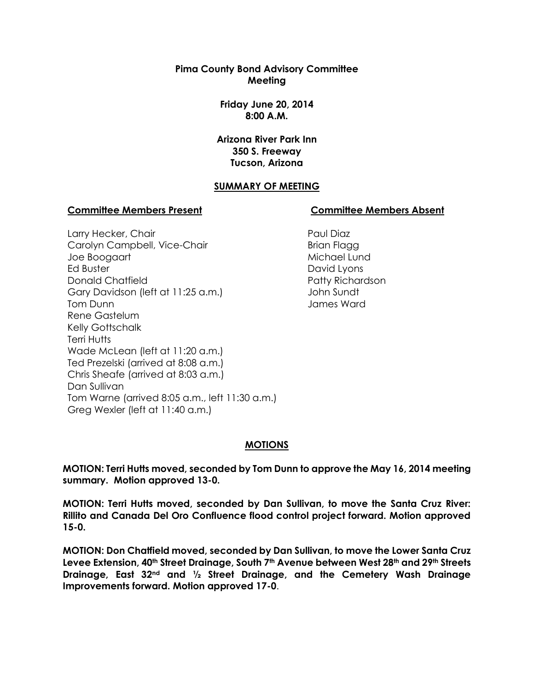**Pima County Bond Advisory Committee Meeting**

> **Friday June 20, 2014 8:00 A.M.**

**Arizona River Park Inn 350 S. Freeway Tucson, Arizona**

#### **SUMMARY OF MEETING**

#### **Committee Members Present Committee Members Absent**

Larry Hecker, Chair Carolyn Campbell, Vice-Chair Joe Boogaart Ed Buster Donald Chatfield Gary Davidson (left at 11:25 a.m.) Tom Dunn Rene Gastelum Kelly Gottschalk Terri Hutts Wade McLean (left at 11:20 a.m.) Ted Prezelski (arrived at 8:08 a.m.) Chris Sheafe (arrived at 8:03 a.m.) Dan Sullivan Tom Warne (arrived 8:05 a.m., left 11:30 a.m.) Greg Wexler (left at 11:40 a.m.)

Paul Diaz Brian Flagg Michael Lund David Lyons Patty Richardson John Sundt James Ward

#### **MOTIONS**

**MOTION: Terri Hutts moved, seconded by Tom Dunn to approve the May 16, 2014 meeting summary. Motion approved 13-0.**

**MOTION: Terri Hutts moved, seconded by Dan Sullivan, to move the Santa Cruz River: Rillito and Canada Del Oro Confluence flood control project forward. Motion approved 15-0.**

**MOTION: Don Chatfield moved, seconded by Dan Sullivan, to move the Lower Santa Cruz Levee Extension, 40th Street Drainage, South 7th Avenue between West 28th and 29th Streets Drainage, East 32nd and ½ Street Drainage, and the Cemetery Wash Drainage Improvements forward. Motion approved 17-0**.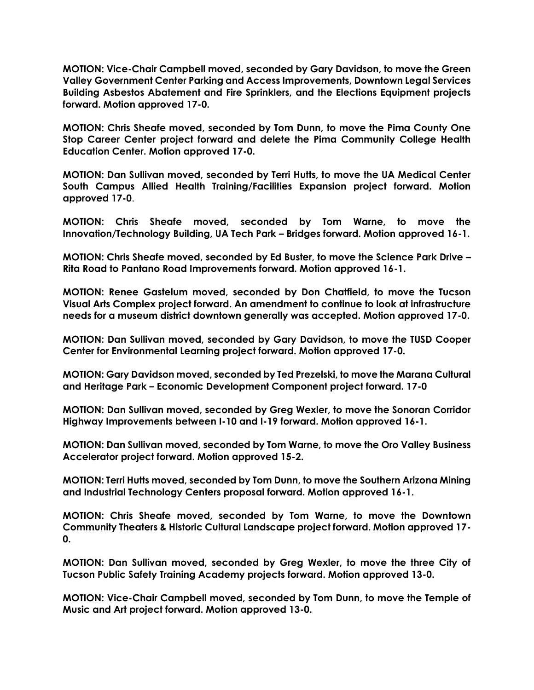**MOTION: Vice-Chair Campbell moved, seconded by Gary Davidson, to move the Green Valley Government Center Parking and Access Improvements, Downtown Legal Services Building Asbestos Abatement and Fire Sprinklers, and the Elections Equipment projects forward. Motion approved 17-0.**

**MOTION: Chris Sheafe moved, seconded by Tom Dunn, to move the Pima County One Stop Career Center project forward and delete the Pima Community College Health Education Center. Motion approved 17-0.**

**MOTION: Dan Sullivan moved, seconded by Terri Hutts, to move the UA Medical Center South Campus Allied Health Training/Facilities Expansion project forward. Motion approved 17-0**.

**MOTION: Chris Sheafe moved, seconded by Tom Warne, to move the Innovation/Technology Building, UA Tech Park – Bridges forward. Motion approved 16-1.**

**MOTION: Chris Sheafe moved, seconded by Ed Buster, to move the Science Park Drive – Rita Road to Pantano Road Improvements forward. Motion approved 16-1.**

**MOTION: Renee Gastelum moved, seconded by Don Chatfield, to move the Tucson Visual Arts Complex project forward. An amendment to continue to look at infrastructure needs for a museum district downtown generally was accepted. Motion approved 17-0.** 

**MOTION: Dan Sullivan moved, seconded by Gary Davidson, to move the TUSD Cooper Center for Environmental Learning project forward. Motion approved 17-0.**

**MOTION: Gary Davidson moved, seconded by Ted Prezelski, to move the Marana Cultural and Heritage Park – Economic Development Component project forward. 17-0**

**MOTION: Dan Sullivan moved, seconded by Greg Wexler, to move the Sonoran Corridor Highway Improvements between I-10 and I-19 forward. Motion approved 16-1.**

**MOTION: Dan Sullivan moved, seconded by Tom Warne, to move the Oro Valley Business Accelerator project forward. Motion approved 15-2.**

**MOTION: Terri Hutts moved, seconded by Tom Dunn, to move the Southern Arizona Mining and Industrial Technology Centers proposal forward. Motion approved 16-1.**

**MOTION: Chris Sheafe moved, seconded by Tom Warne, to move the Downtown Community Theaters & Historic Cultural Landscape project forward. Motion approved 17- 0.**

**MOTION: Dan Sullivan moved, seconded by Greg Wexler, to move the three City of Tucson Public Safety Training Academy projects forward. Motion approved 13-0.**

**MOTION: Vice-Chair Campbell moved, seconded by Tom Dunn, to move the Temple of Music and Art project forward. Motion approved 13-0.**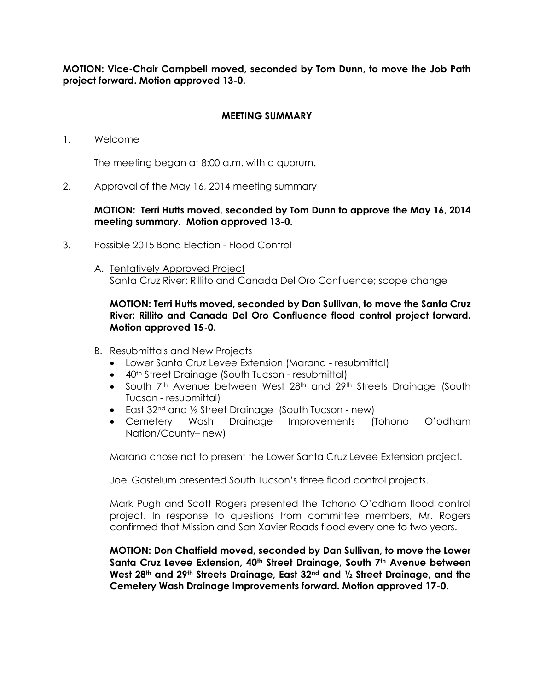**MOTION: Vice-Chair Campbell moved, seconded by Tom Dunn, to move the Job Path project forward. Motion approved 13-0.**

#### **MEETING SUMMARY**

1. Welcome

The meeting began at 8:00 a.m. with a quorum.

2. Approval of the May 16, 2014 meeting summary

**MOTION: Terri Hutts moved, seconded by Tom Dunn to approve the May 16, 2014 meeting summary. Motion approved 13-0.**

- 3. Possible 2015 Bond Election Flood Control
	- A. Tentatively Approved Project Santa Cruz River: Rillito and Canada Del Oro Confluence; scope change

### **MOTION: Terri Hutts moved, seconded by Dan Sullivan, to move the Santa Cruz River: Rillito and Canada Del Oro Confluence flood control project forward. Motion approved 15-0.**

- B. Resubmittals and New Projects
	- Lower Santa Cruz Levee Extension (Marana resubmittal)
	- 40<sup>th</sup> Street Drainage (South Tucson resubmittal)
	- South 7<sup>th</sup> Avenue between West 28<sup>th</sup> and 29<sup>th</sup> Streets Drainage (South Tucson - resubmittal)
	- East 32<sup>nd</sup> and 1/2 Street Drainage (South Tucson new)
	- Cemetery Wash Drainage Improvements (Tohono O'odham Nation/County– new)

Marana chose not to present the Lower Santa Cruz Levee Extension project.

Joel Gastelum presented South Tucson's three flood control projects.

Mark Pugh and Scott Rogers presented the Tohono O'odham flood control project. In response to questions from committee members, Mr. Rogers confirmed that Mission and San Xavier Roads flood every one to two years.

**MOTION: Don Chatfield moved, seconded by Dan Sullivan, to move the Lower Santa Cruz Levee Extension, 40th Street Drainage, South 7th Avenue between West 28th and 29th Streets Drainage, East 32nd and ½ Street Drainage, and the Cemetery Wash Drainage Improvements forward. Motion approved 17-0**.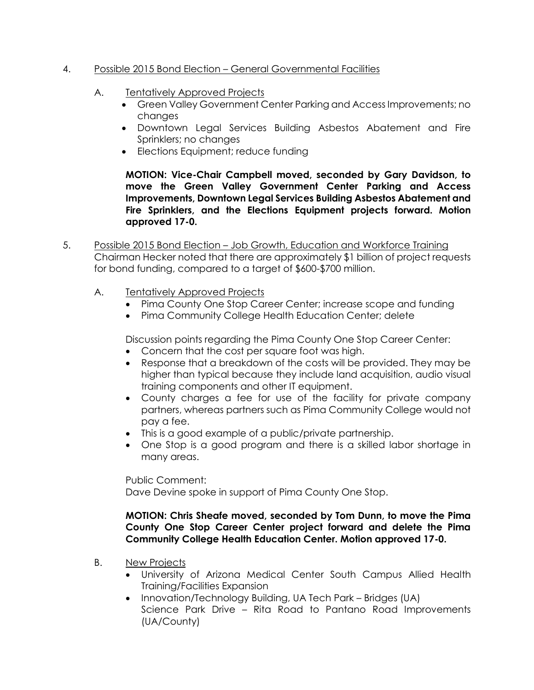## 4. Possible 2015 Bond Election – General Governmental Facilities

- A. Tentatively Approved Projects
	- Green Valley Government Center Parking and Access Improvements; no changes
	- Downtown Legal Services Building Asbestos Abatement and Fire Sprinklers; no changes
	- Elections Equipment; reduce funding

**MOTION: Vice-Chair Campbell moved, seconded by Gary Davidson, to move the Green Valley Government Center Parking and Access Improvements, Downtown Legal Services Building Asbestos Abatement and Fire Sprinklers, and the Elections Equipment projects forward. Motion approved 17-0.**

- 5. Possible 2015 Bond Election Job Growth, Education and Workforce Training Chairman Hecker noted that there are approximately \$1 billion of project requests for bond funding, compared to a target of \$600-\$700 million.
	- A. Tentatively Approved Projects
		- Pima County One Stop Career Center; increase scope and funding
		- Pima Community College Health Education Center; delete

Discussion points regarding the Pima County One Stop Career Center:

- Concern that the cost per square foot was high.
- Response that a breakdown of the costs will be provided. They may be higher than typical because they include land acquisition, audio visual training components and other IT equipment.
- County charges a fee for use of the facility for private company partners, whereas partners such as Pima Community College would not pay a fee.
- This is a good example of a public/private partnership.
- One Stop is a good program and there is a skilled labor shortage in many areas.

Public Comment: Dave Devine spoke in support of Pima County One Stop.

#### **MOTION: Chris Sheafe moved, seconded by Tom Dunn, to move the Pima County One Stop Career Center project forward and delete the Pima Community College Health Education Center. Motion approved 17-0.**

- B. New Projects
	- University of Arizona Medical Center South Campus Allied Health Training/Facilities Expansion
	- Innovation/Technology Building, UA Tech Park Bridges (UA) Science Park Drive – Rita Road to Pantano Road Improvements (UA/County)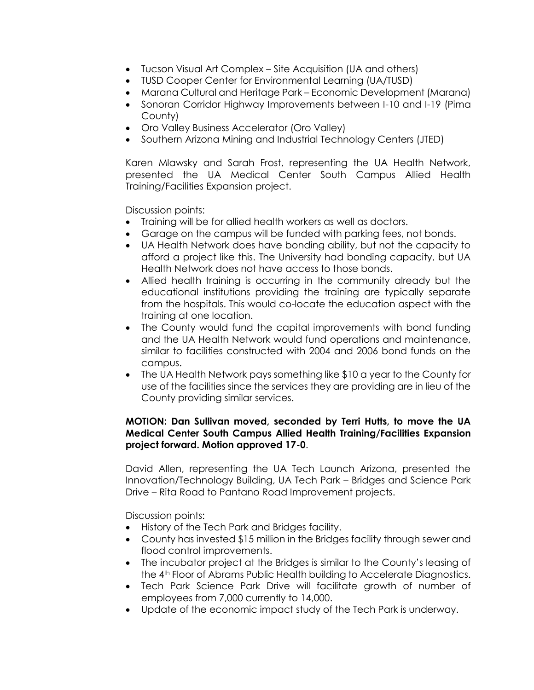- Tucson Visual Art Complex Site Acquisition (UA and others)
- TUSD Cooper Center for Environmental Learning (UA/TUSD)
- Marana Cultural and Heritage Park Economic Development (Marana)
- Sonoran Corridor Highway Improvements between I-10 and I-19 (Pima County)
- Oro Valley Business Accelerator (Oro Valley)
- Southern Arizona Mining and Industrial Technology Centers (JTED)

Karen Mlawsky and Sarah Frost, representing the UA Health Network, presented the UA Medical Center South Campus Allied Health Training/Facilities Expansion project.

Discussion points:

- Training will be for allied health workers as well as doctors.
- Garage on the campus will be funded with parking fees, not bonds.
- UA Health Network does have bonding ability, but not the capacity to afford a project like this. The University had bonding capacity, but UA Health Network does not have access to those bonds.
- Allied health training is occurring in the community already but the educational institutions providing the training are typically separate from the hospitals. This would co-locate the education aspect with the training at one location.
- The County would fund the capital improvements with bond funding and the UA Health Network would fund operations and maintenance, similar to facilities constructed with 2004 and 2006 bond funds on the campus.
- The UA Health Network pays something like \$10 a year to the County for use of the facilities since the services they are providing are in lieu of the County providing similar services.

## **MOTION: Dan Sullivan moved, seconded by Terri Hutts, to move the UA Medical Center South Campus Allied Health Training/Facilities Expansion project forward. Motion approved 17-0**.

David Allen, representing the UA Tech Launch Arizona, presented the Innovation/Technology Building, UA Tech Park – Bridges and Science Park Drive – Rita Road to Pantano Road Improvement projects.

- History of the Tech Park and Bridges facility.
- County has invested \$15 million in the Bridges facility through sewer and flood control improvements.
- The incubator project at the Bridges is similar to the County's leasing of the 4th Floor of Abrams Public Health building to Accelerate Diagnostics.
- Tech Park Science Park Drive will facilitate growth of number of employees from 7,000 currently to 14,000.
- Update of the economic impact study of the Tech Park is underway.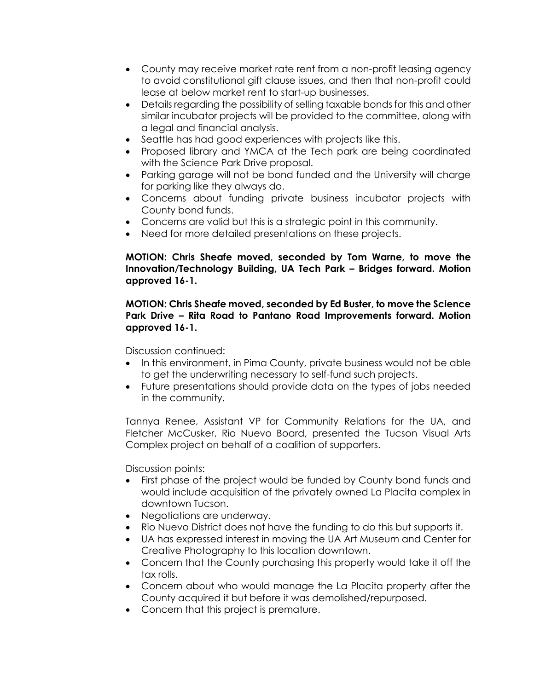- County may receive market rate rent from a non-profit leasing agency to avoid constitutional gift clause issues, and then that non-profit could lease at below market rent to start-up businesses.
- Details regarding the possibility of selling taxable bonds for this and other similar incubator projects will be provided to the committee, along with a legal and financial analysis.
- Seattle has had good experiences with projects like this.
- Proposed library and YMCA at the Tech park are being coordinated with the Science Park Drive proposal.
- Parking garage will not be bond funded and the University will charge for parking like they always do.
- Concerns about funding private business incubator projects with County bond funds.
- Concerns are valid but this is a strategic point in this community.
- Need for more detailed presentations on these projects.

## **MOTION: Chris Sheafe moved, seconded by Tom Warne, to move the Innovation/Technology Building, UA Tech Park – Bridges forward. Motion approved 16-1.**

## **MOTION: Chris Sheafe moved, seconded by Ed Buster, to move the Science Park Drive – Rita Road to Pantano Road Improvements forward. Motion approved 16-1.**

Discussion continued:

- In this environment, in Pima County, private business would not be able to get the underwriting necessary to self-fund such projects.
- Future presentations should provide data on the types of jobs needed in the community.

Tannya Renee, Assistant VP for Community Relations for the UA, and Fletcher McCusker, Rio Nuevo Board, presented the Tucson Visual Arts Complex project on behalf of a coalition of supporters.

- First phase of the project would be funded by County bond funds and would include acquisition of the privately owned La Placita complex in downtown Tucson.
- Negotiations are underway.
- Rio Nuevo District does not have the funding to do this but supports it.
- UA has expressed interest in moving the UA Art Museum and Center for Creative Photography to this location downtown.
- Concern that the County purchasing this property would take it off the tax rolls.
- Concern about who would manage the La Placita property after the County acquired it but before it was demolished/repurposed.
- Concern that this project is premature.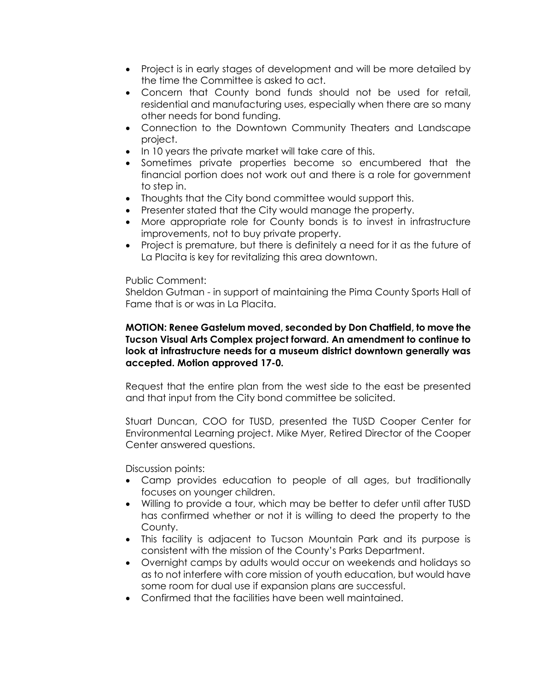- Project is in early stages of development and will be more detailed by the time the Committee is asked to act.
- Concern that County bond funds should not be used for retail, residential and manufacturing uses, especially when there are so many other needs for bond funding.
- Connection to the Downtown Community Theaters and Landscape project.
- In 10 years the private market will take care of this.
- Sometimes private properties become so encumbered that the financial portion does not work out and there is a role for government to step in.
- Thoughts that the City bond committee would support this.
- Presenter stated that the City would manage the property.
- More appropriate role for County bonds is to invest in infrastructure improvements, not to buy private property.
- Project is premature, but there is definitely a need for it as the future of La Placita is key for revitalizing this area downtown.

#### Public Comment:

Sheldon Gutman - in support of maintaining the Pima County Sports Hall of Fame that is or was in La Placita.

#### **MOTION: Renee Gastelum moved, seconded by Don Chatfield, to move the Tucson Visual Arts Complex project forward. An amendment to continue to look at infrastructure needs for a museum district downtown generally was accepted. Motion approved 17-0.**

Request that the entire plan from the west side to the east be presented and that input from the City bond committee be solicited.

Stuart Duncan, COO for TUSD, presented the TUSD Cooper Center for Environmental Learning project. Mike Myer, Retired Director of the Cooper Center answered questions.

- Camp provides education to people of all ages, but traditionally focuses on younger children.
- Willing to provide a tour, which may be better to defer until after TUSD has confirmed whether or not it is willing to deed the property to the County.
- This facility is adjacent to Tucson Mountain Park and its purpose is consistent with the mission of the County's Parks Department.
- Overnight camps by adults would occur on weekends and holidays so as to not interfere with core mission of youth education, but would have some room for dual use if expansion plans are successful.
- Confirmed that the facilities have been well maintained.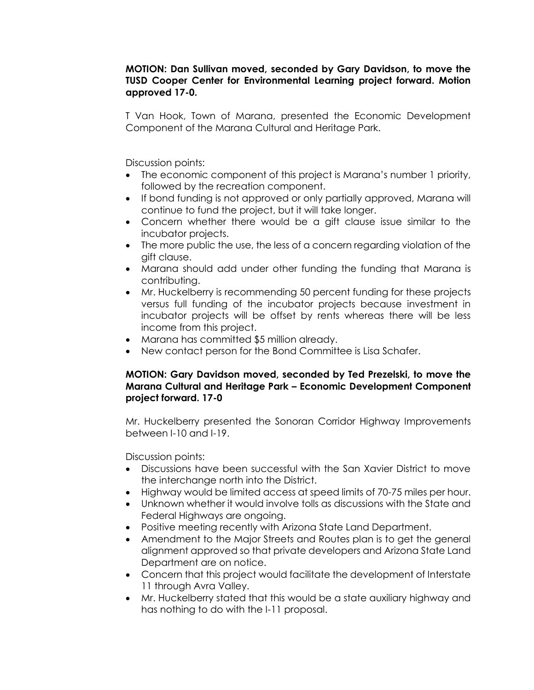#### **MOTION: Dan Sullivan moved, seconded by Gary Davidson, to move the TUSD Cooper Center for Environmental Learning project forward. Motion approved 17-0.**

T Van Hook, Town of Marana, presented the Economic Development Component of the Marana Cultural and Heritage Park.

Discussion points:

- The economic component of this project is Marana's number 1 priority, followed by the recreation component.
- If bond funding is not approved or only partially approved, Marana will continue to fund the project, but it will take longer.
- Concern whether there would be a gift clause issue similar to the incubator projects.
- The more public the use, the less of a concern regarding violation of the gift clause.
- Marana should add under other funding the funding that Marana is contributing.
- Mr. Huckelberry is recommending 50 percent funding for these projects versus full funding of the incubator projects because investment in incubator projects will be offset by rents whereas there will be less income from this project.
- Marana has committed \$5 million already.
- New contact person for the Bond Committee is Lisa Schafer.

### **MOTION: Gary Davidson moved, seconded by Ted Prezelski, to move the Marana Cultural and Heritage Park – Economic Development Component project forward. 17-0**

Mr. Huckelberry presented the Sonoran Corridor Highway Improvements between I-10 and I-19.

- Discussions have been successful with the San Xavier District to move the interchange north into the District.
- Highway would be limited access at speed limits of 70-75 miles per hour.
- Unknown whether it would involve tolls as discussions with the State and Federal Highways are ongoing.
- Positive meeting recently with Arizona State Land Department.
- Amendment to the Major Streets and Routes plan is to get the general alignment approved so that private developers and Arizona State Land Department are on notice.
- Concern that this project would facilitate the development of Interstate 11 through Avra Valley.
- Mr. Huckelberry stated that this would be a state auxiliary highway and has nothing to do with the I-11 proposal.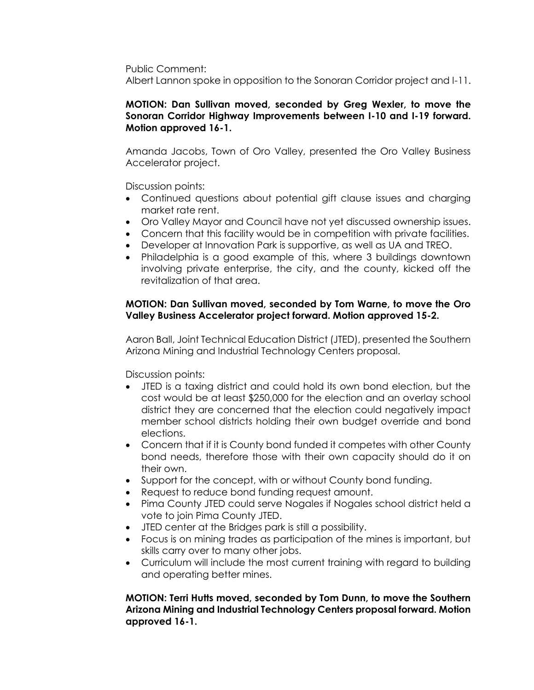Public Comment:

Albert Lannon spoke in opposition to the Sonoran Corridor project and I-11.

### **MOTION: Dan Sullivan moved, seconded by Greg Wexler, to move the Sonoran Corridor Highway Improvements between I-10 and I-19 forward. Motion approved 16-1.**

Amanda Jacobs, Town of Oro Valley, presented the Oro Valley Business Accelerator project.

Discussion points:

- Continued questions about potential gift clause issues and charging market rate rent.
- Oro Valley Mayor and Council have not yet discussed ownership issues.
- Concern that this facility would be in competition with private facilities.
- Developer at Innovation Park is supportive, as well as UA and TREO.
- Philadelphia is a good example of this, where 3 buildings downtown involving private enterprise, the city, and the county, kicked off the revitalization of that area.

### **MOTION: Dan Sullivan moved, seconded by Tom Warne, to move the Oro Valley Business Accelerator project forward. Motion approved 15-2.**

Aaron Ball, Joint Technical Education District (JTED), presented the Southern Arizona Mining and Industrial Technology Centers proposal.

Discussion points:

- JTED is a taxing district and could hold its own bond election, but the cost would be at least \$250,000 for the election and an overlay school district they are concerned that the election could negatively impact member school districts holding their own budget override and bond elections.
- Concern that if it is County bond funded it competes with other County bond needs, therefore those with their own capacity should do it on their own.
- Support for the concept, with or without County bond funding.
- Request to reduce bond funding request amount.
- Pima County JTED could serve Nogales if Nogales school district held a vote to join Pima County JTED.
- JTED center at the Bridges park is still a possibility.
- Focus is on mining trades as participation of the mines is important, but skills carry over to many other jobs.
- Curriculum will include the most current training with regard to building and operating better mines.

## **MOTION: Terri Hutts moved, seconded by Tom Dunn, to move the Southern Arizona Mining and Industrial Technology Centers proposal forward. Motion approved 16-1.**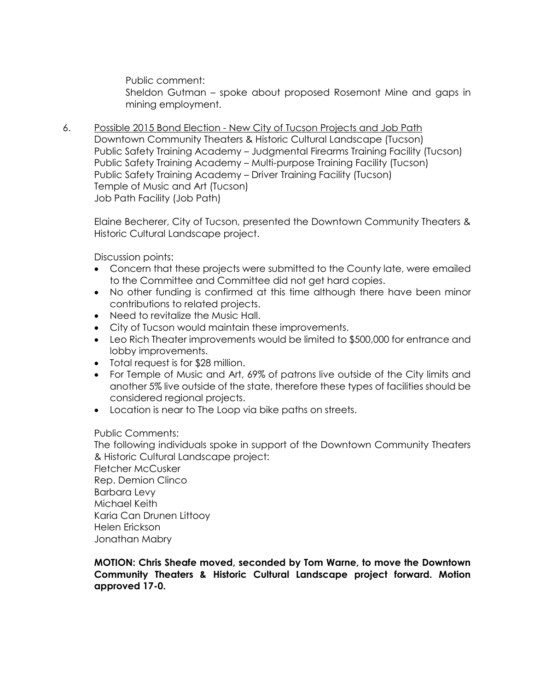Public comment: Sheldon Gutman – spoke about proposed Rosemont Mine and gaps in mining employment.

6. Possible 2015 Bond Election - New City of Tucson Projects and Job Path Downtown Community Theaters & Historic Cultural Landscape (Tucson) Public Safety Training Academy – Judgmental Firearms Training Facility (Tucson) Public Safety Training Academy – Multi-purpose Training Facility (Tucson) Public Safety Training Academy – Driver Training Facility (Tucson) Temple of Music and Art (Tucson) Job Path Facility (Job Path)

Elaine Becherer, City of Tucson, presented the Downtown Community Theaters & Historic Cultural Landscape project.

Discussion points:

- Concern that these projects were submitted to the County late, were emailed to the Committee and Committee did not get hard copies.
- No other funding is confirmed at this time although there have been minor contributions to related projects.
- Need to revitalize the Music Hall.
- City of Tucson would maintain these improvements.
- Leo Rich Theater improvements would be limited to \$500,000 for entrance and lobby improvements.
- Total request is for \$28 million.
- For Temple of Music and Art, 69% of patrons live outside of the City limits and another 5% live outside of the state, therefore these types of facilities should be considered regional projects.
- Location is near to The Loop via bike paths on streets.

#### Public Comments:

The following individuals spoke in support of the Downtown Community Theaters & Historic Cultural Landscape project:

Fletcher McCusker Rep. Demion Clinco Barbara Levy Michael Keith Karia Can Drunen Littooy Helen Erickson Jonathan Mabry

**MOTION: Chris Sheafe moved, seconded by Tom Warne, to move the Downtown Community Theaters & Historic Cultural Landscape project forward. Motion approved 17-0.**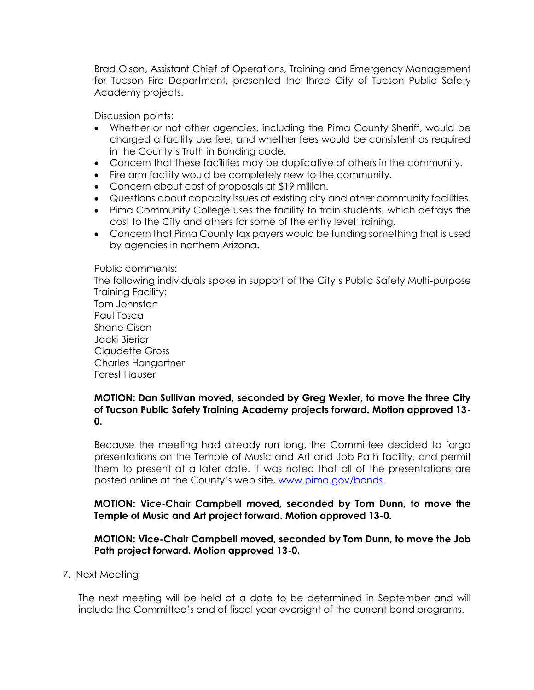Brad Olson, Assistant Chief of Operations, Training and Emergency Management for Tucson Fire Department, presented the three City of Tucson Public Safety Academy projects.

Discussion points:

- Whether or not other agencies, including the Pima County Sheriff, would be charged a facility use fee, and whether fees would be consistent as required in the County's Truth in Bonding code.
- Concern that these facilities may be duplicative of others in the community.
- Fire arm facility would be completely new to the community.
- Concern about cost of proposals at \$19 million.
- Questions about capacity issues at existing city and other community facilities.
- Pima Community College uses the facility to train students, which defrays the cost to the City and others for some of the entry level training.
- Concern that Pima County tax payers would be funding something that is used by agencies in northern Arizona.

Public comments:

The following individuals spoke in support of the City's Public Safety Multi-purpose Training Facility: Tom Johnston Paul Tosca

Shane Cisen Jacki Bieriar Claudette Gross Charles Hangartner Forest Hauser

## **MOTION: Dan Sullivan moved, seconded by Greg Wexler, to move the three City of Tucson Public Safety Training Academy projects forward. Motion approved 13- 0.**

Because the meeting had already run long, the Committee decided to forgo presentations on the Temple of Music and Art and Job Path facility, and permit them to present at a later date. It was noted that all of the presentations are posted online at the County's web site, [www.pima.gov/bonds.](http://www.pima.gov/bonds)

**MOTION: Vice-Chair Campbell moved, seconded by Tom Dunn, to move the Temple of Music and Art project forward. Motion approved 13-0.**

**MOTION: Vice-Chair Campbell moved, seconded by Tom Dunn, to move the Job Path project forward. Motion approved 13-0.**

## 7. Next Meeting

The next meeting will be held at a date to be determined in September and will include the Committee's end of fiscal year oversight of the current bond programs.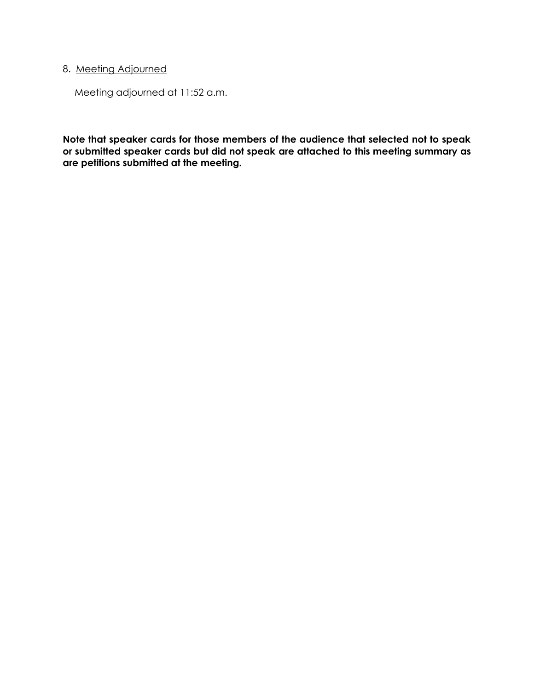# 8. Meeting Adjourned

Meeting adjourned at 11:52 a.m.

**Note that speaker cards for those members of the audience that selected not to speak or submitted speaker cards but did not speak are attached to this meeting summary as are petitions submitted at the meeting.**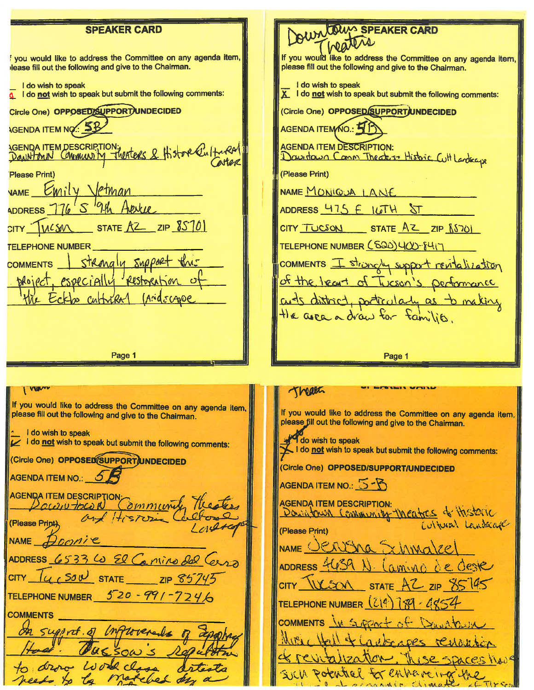**DUM SPEAKER CARD SPEAKER CARD** If you would like to address the Committee on any agenda item, you would like to address the Committee on any agenda item, lease fill out the following and give to the Chairman. please fill out the following and give to the Chairman. I do wish to speak I do wish to speak  $\frac{1}{2}$  i do not wish to speak but submit the following comments: X I do not wish to speak but submit the following comments: (Circle One) OPPOSED SUPPORT UNDECIDED Circle One) OPPOSED/SUPPORT/UNDECIDED **AGENDA ITEM NO. 5B** AGENDA ITEMNO.: 4 AGENDA ITEM DESCRIPTION; CALCO & Histore Cultural **AGENDA ITEM DESCRIPTION:** Davidava Comm Theater Histoic Cutt Landscape (Please Print) Please Print) VAME Emily Jetman NAME MONIQUA LANE ADDRESS 776 ADDRESS 475 E ILTH ST STATE  $AZ$  zip  $8570$ WCSM  $CITY$   $TUCSON$   $STATE$   $AZ$   $ZIP$   $(S70)$ TELEPHONE NUMBER (520)400-841-**TELEPHONE NUMBER** Strangly Support comments I strangly support rentalization **COMMENTS** of the least of Tucson's performan especially restore ilbt cuts district, porticularly as to making the area a draw for families. Page 1 Page 1 I VUIV Theath If you would like to address the Committee on any agenda item, please fill out the following and give to the Chairman. If you would like to address the Committee on any agenda item, please fill out the following and give to the Chairman. I do wish to speak I do not wish to speak but submit the following comments: do wish to speak I do not wish to speak but submit the following comments: (Circle One) OPPOSED SUPPORT UNDECIDED (Circle One) OPPOSED/SUPPORT/UNDECIDED AGENDA ITEM NO.: 5 AGENDA ITEM NO.: 5-8 AGENDA ITEM DESCRIPTION: read Community Theaters **AGENDA ITEM DESCRIPTION:** Downtown Community theatres of Historic (Please Print) (Please Print) NAME Doonie NAME CERVING FXLAMA ADDRESS 6533 60 El Camino dal ADDRESS<sup>4</sup> Lamino de Geste CITY  $\mu$  SOU STATE ZIP 857 STATE  $AC$  ZIP  $SS$ CITY WESON TELEPHONE NUMBER  $520 - 991 - 7746$ TELEPHONE NUMBER (214) **COMMENTS** COMMENTS IN SURPORT of Dunch Support of Inflorenals  $M_{\rm B}$   $M_{\rm B}$ adder ope restaurant LSe SDACES HAVE SICh Pothtel for enhancing the notched de needs to to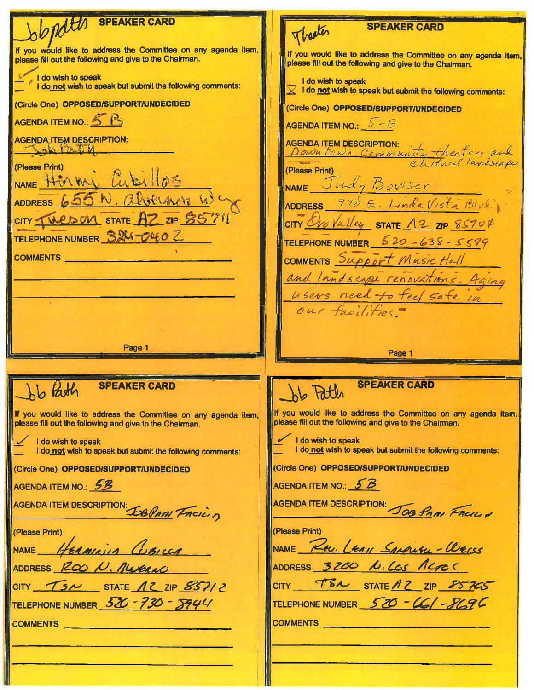| 2 NATUR SPEAKER CARD                                                                                                      | <b>SPEAKER CARD</b><br>Theater                                                                                            |
|---------------------------------------------------------------------------------------------------------------------------|---------------------------------------------------------------------------------------------------------------------------|
| If you would like to address the Committee on any agenda item,<br>please fill out the following and give to the Chairman. | If you would like to address the Committee on any agenda item,<br>please fill out the following and give to the Chairman. |
| I do wish to speak<br>I do not wish to speak but submit the following comments:                                           | I do wish to speak<br>$\bar{\chi}$ I do not wish to speak but submit the following comments:                              |
| <b>(Circle One) OPPOSED/SUPPORT/UNDECIDED</b>                                                                             | (Circle One) OPPOSED/SUPPORT/UNDECIDED                                                                                    |
| AGENDA ITEM NO.: 5 B                                                                                                      | AGENDA ITEM NO.: $S-B$                                                                                                    |
| <b>AGENDA ITEM DESCRIPTION:</b><br>Salially                                                                               | <b>AGENDA ITEM DESCRIPTION:</b><br>SENDAITEM DESCRIPTION:<br>Down town Community theatres and                             |
| <b>Please Print</b> )                                                                                                     | (Please Print)                                                                                                            |
| NAME HERMAN Cubillos                                                                                                      | NAME Judy Bowser                                                                                                          |
| ADDRESS 655 N. alvernin W.                                                                                                | ADDRESS 970 E. Linda Vista Blud                                                                                           |
| CITY THESOM STATE AZ ZIP S5711                                                                                            | CITY One Valley STATE AZ ZIP 85704                                                                                        |
| TELEPHONE NUMBER 324-0402                                                                                                 | TELEPHONE NUMBER $520 - 638 - 5599$                                                                                       |
| COMMENTS ______                                                                                                           | COMMENTS Support Music Hall                                                                                               |
|                                                                                                                           | and landscape renovations, Aging                                                                                          |
|                                                                                                                           | users need to feel safe in                                                                                                |
|                                                                                                                           | our facilities                                                                                                            |
|                                                                                                                           |                                                                                                                           |
| Page 1                                                                                                                    |                                                                                                                           |
|                                                                                                                           |                                                                                                                           |
|                                                                                                                           | Page 1                                                                                                                    |
|                                                                                                                           |                                                                                                                           |
| <b>SPEAKER CARD</b><br>Job Path                                                                                           | <b>SPEAKER CARD</b><br>hb taun                                                                                            |
| If you would like to address the Committee on any agenda item,<br>please fill out the following and give to the Chairman. | If you would like to address the Committee on any agenda item,<br>please fill out the following and give to the Chairman. |
| $\angle$ I do wish to speak<br>I do not wish to speak but submit the following comments:                                  | I do wish to speak<br>I do not wish to speak but submit the following comments:                                           |
| (Circle One) OPPOSED/SUPPORT/UNDECIDED                                                                                    | (Circle One) OPPOSED/SUPPORT/UNDECIDED                                                                                    |
| AGENDA ITEM NO.: 53                                                                                                       | AGENDA ITEM NO.: 5B                                                                                                       |
|                                                                                                                           | AGENDA ITEM DESCRIPTION: JOB PAMI FACILI                                                                                  |
| AGENDA ITEM DESCRIPTION: LAS PARI FREILIZ<br>(Please Print)                                                               | (Please Print)                                                                                                            |
| NAME HERMINIA Concer                                                                                                      | NAME Rev. LEAVI SARRISKL - WERSS                                                                                          |
| ADDRESS ROOD, NUCLAO                                                                                                      | ADDRESS 3200 N. LOS RGES                                                                                                  |
| CITY $\begin{array}{cc} \mathcal{T}5\wedge5\end{array}$ STATE $\Lambda 2$ ZIP $857/2$                                     | CITY T.S.N STATE 12 ZIP 85765                                                                                             |
| TELEPHONE NUMBER 520 - 730 - 5944                                                                                         | TELEPHONE NUMBER 520 - 46/-8696                                                                                           |
| COMMENTS <b>COMMENTS</b>                                                                                                  | <b>COMMENTS</b>                                                                                                           |
|                                                                                                                           |                                                                                                                           |
|                                                                                                                           |                                                                                                                           |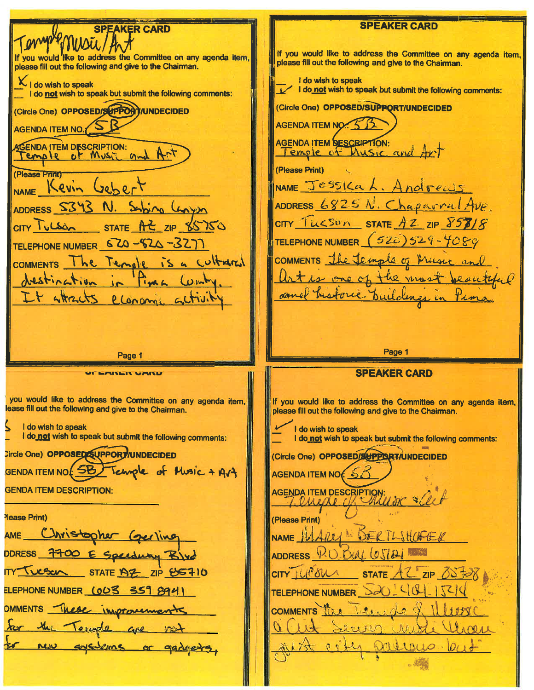**SPEAKER CARD SPEAKER CARD** If you would like to address the Committee on any agenda item. If you would like to address the Committee on any agenda item. please fill out the following and give to the Chairman. please fill out the following and give to the Chairman. I do wish to speak X I do wish to speak I do not wish to speak but submit the following comments: I do not wish to speak but submit the following comments: (Circle One) OPPOSED/SUPPORT/UNDECIDED (Circle One) OPPOSED/SUPPORT/UNDECIDED AGENDA ITEM NO. AGENDA ITEM NO. 5 B **AGENDA ITEM DESCRIPTION:** SCENDA ITEM DESCRIPTION:<br>Temple of Music and Temple of Music and Art (Please Print) (Please Print) NAME Jessica L. Andreals NAME Kevin  $C_0$  $h$  $c$  $r$ ADDRESS  $6825N$ . Chaparral Ave ADDRESS S343 Syping Conven N.  $CITY$  TUCSON STATE  $AZ$  ZIP  $\frac{857}{8}$  $CITY$  Julban STATE AZ ZIP 85750 TELEPHONE NUMBER (520) 529-4080 TELEPHONE NUMBER 520-520-327 COMMENTS The Temple of Music he Temple is a cultural **COMMENTS** one of the most Jae autiful destination **LO** amel historic buildings LY STACTS Clename  $\sim$ Page 1 Page 1 **SPEAKER CARD LABER VARD** you would like to address the Committee on any agenda item, If you would like to address the Committee on any agenda item, lease fill out the following and give to the Chairman. please fill out the following and give to the Chairman. I do wish to speak I do wish to speak I do not wish to speak but submit the following comments: I do not wish to speak but submit the following comments: Circle One) OPPOSED SUPPORT / UNDECIDED (Circle One) OPPOSED/SUPPORT/UNDECIDED GENDA ITEM NOT 5B Temple of Music + Art AGENDA ITEM NO 650 **GENDA ITEM DESCRIPTION:** AGENDA ITEM DESCRIPTION: une allet Please Print) (Please Print) Christopher (gerling AME NAME  $\mathcal W$ DERTLINGFER ADDRESS P.O.DUL CJAH FOO E Speedway Blve <u>I vesco STATE AZ</u> ZIP US710  $CITY$   $U(°\delta W \wedge$ t C ZIP OS TOX STATE ELEPHONE NUMBER (OD3 359 894) TELEPHONE NUMBER  $\geq 20$ OMMENTS These improvement  $1.21.16$ **COMMENTS**  $\mathbb{R}$  $\bullet$ for the Temple are no AA1  $2 + 120$ systems or gadoests  $0.001010 - 0.01$ new  $25t$   $0.0$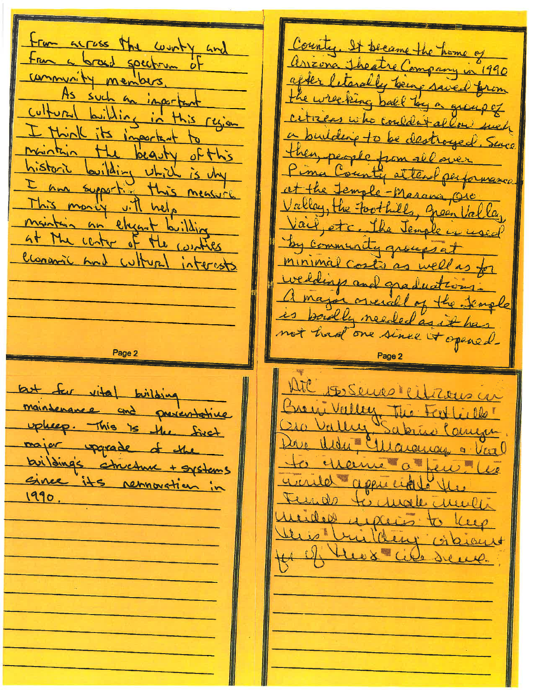From across the worky and County. It became the home of arizona Theatre Company in 1990 From a broad spectrum of after letarally being saved from community members. the wrecking ball by a group of As such an inperfant cultural building in this region citizens who couldn't allow such I think its inportant a building to be destroyed. Since maintain the beguty of this then people from all historic building which is vhy Pima County alten performance am supporting this measure. at the Jemple-Masana Ore Valley, the toothills, green Valley This money with help maintain an elyant building Vail, etc. The Jemple is used at the center of the counties by community groups at Clonanic And Withred interests minimal costs as well as for weddings and graduat a major orienal of the semple is poully needed as it has not had one since it opened. Page 2 Att 18 Senso Militars in but for vital building Breig, Valley The Fert maintenance and preventative  $+100$ Oro Valley upleep. This is the first Sabrico Carryn Die With Ellargency a Var major upgrade of the buildings structure to exame a few lie + systems since its removation in wired appreciate the 1990. Tends to make multi wides upleis to Kup this building citiens 11 of the x cite sene.